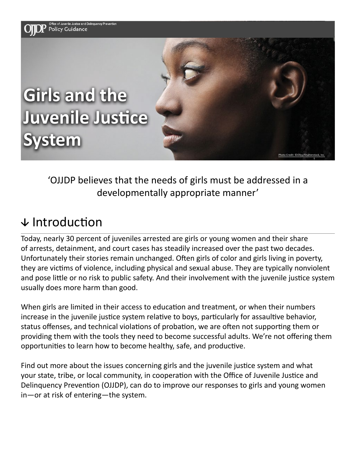

'OJJDP believes that the needs of girls must be addressed in a developmentally appropriate manner'

### $\downarrow$  Introduction

Today, nearly 30 percent of juveniles arrested are girls or young women and their share of arrests, detainment, and court cases has steadily increased over the past two decades. Unfortunately their stories remain unchanged. Often girls of color and girls living in poverty, they are victims of violence, including physical and sexual abuse. They are typically nonviolent and pose little or no risk to public safety. And their involvement with the juvenile justice system usually does more harm than good.

When girls are limited in their access to education and treatment, or when their numbers increase in the juvenile justice system relative to boys, particularly for assaultive behavior, status offenses, and technical violations of probation, we are often not supporting them or providing them with the tools they need to become successful adults. We're not offering them opportunities to learn how to become healthy, safe, and productive.

Find out more about the issues concerning girls and the juvenile justice system and what your state, tribe, or local community, in cooperation with the Office of Juvenile Justice and Delinquency Prevention (OJJDP), can do to improve our responses to girls and young women in—or at risk of entering—the system.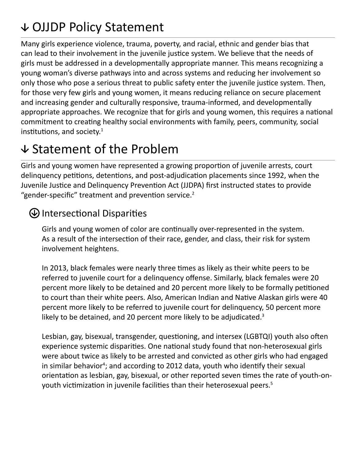# OJJDP Policy Statement

Many girls experience violence, trauma, poverty, and racial, ethnic and gender bias that can lead to their involvement in the juvenile justice system. We believe that the needs of girls must be addressed in a developmentally appropriate manner. This means recognizing a young woman's diverse pathways into and across systems and reducing her involvement so only those who pose a serious threat to public safety enter the juvenile justice system. Then, for those very few girls and young women, it means reducing reliance on secure placement and increasing gender and culturally responsive, trauma-informed, and developmentally appropriate approaches. We recognize that for girls and young women, this requires a national commitment to creating healthy social environments with family, peers, community, social institutions, and society.<sup>1</sup>

## $\vee$  Statement of the Problem

Girls and young women have represented a growing proportion of juvenile arrests, court delinquency petitions, detentions, and post-adjudication placements since 1992, when the Juvenile Justice and Delinquency Prevention Act (JJDPA) first instructed states to provide "gender-specific" treatment and prevention service.<sup>2</sup>

#### Intersectional Disparities

Girls and young women of color are continually over-represented in the system. As a result of the intersection of their race, gender, and class, their risk for system involvement heightens.

In 2013, black females were nearly three times as likely as their white peers to be referred to juvenile court for a delinquency offense. Similarly, black females were 20 percent more likely to be detained and 20 percent more likely to be formally petitioned to court than their white peers. Also, American Indian and Native Alaskan girls were 40 percent more likely to be referred to juvenile court for delinquency, 50 percent more likely to be detained, and 20 percent more likely to be adjudicated.<sup>3</sup>

Lesbian, gay, bisexual, transgender, questioning, and intersex (LGBTQI) youth also often experience systemic disparities. One national study found that non-heterosexual girls were about twice as likely to be arrested and convicted as other girls who had engaged in similar behavior<sup>4</sup>; and according to 2012 data, youth who identify their sexual orientation as lesbian, gay, bisexual, or other reported seven times the rate of youth-onyouth victimization in juvenile facilities than their heterosexual peers.<sup>5</sup>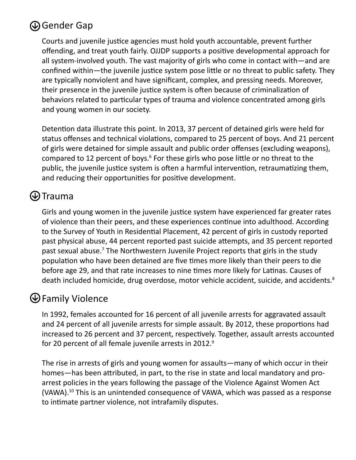#### Gender Gap

Courts and juvenile justice agencies must hold youth accountable, prevent further offending, and treat youth fairly. OJJDP supports a positive developmental approach for all system-involved youth. The vast majority of girls who come in contact with—and are confined within—the juvenile justice system pose little or no threat to public safety. They are typically nonviolent and have significant, complex, and pressing needs. Moreover, their presence in the juvenile justice system is often because of criminalization of behaviors related to particular types of trauma and violence concentrated among girls and young women in our society.

Detention data illustrate this point. In 2013, 37 percent of detained girls were held for status offenses and technical violations, compared to 25 percent of boys. And 21 percent of girls were detained for simple assault and public order offenses (excluding weapons), compared to 12 percent of boys.<sup>6</sup> For these girls who pose little or no threat to the public, the juvenile justice system is often a harmful intervention, retraumatizing them, and reducing their opportunities for positive development.

#### $\bigcirc$ Trauma

Girls and young women in the juvenile justice system have experienced far greater rates of violence than their peers, and these experiences continue into adulthood. According to the Survey of Youth in Residential Placement, 42 percent of girls in custody reported past physical abuse, 44 percent reported past suicide attempts, and 35 percent reported past sexual abuse.<sup>7</sup> The Northwestern Juvenile Project reports that girls in the study population who have been detained are five times more likely than their peers to die before age 29, and that rate increases to nine times more likely for Latinas. Causes of death included homicide, drug overdose, motor vehicle accident, suicide, and accidents.<sup>8</sup>

#### Family Violence

In 1992, females accounted for 16 percent of all juvenile arrests for aggravated assault and 24 percent of all juvenile arrests for simple assault. By 2012, these proportions had increased to 26 percent and 37 percent, respectively. Together, assault arrests accounted for 20 percent of all female juvenile arrests in 2012.<sup>9</sup>

The rise in arrests of girls and young women for assaults—many of which occur in their homes—has been attributed, in part, to the rise in state and local mandatory and proarrest policies in the years following the passage of the Violence Against Women Act (VAWA).<sup>10</sup> This is an unintended consequence of VAWA, which was passed as a response to intimate partner violence, not intrafamily disputes.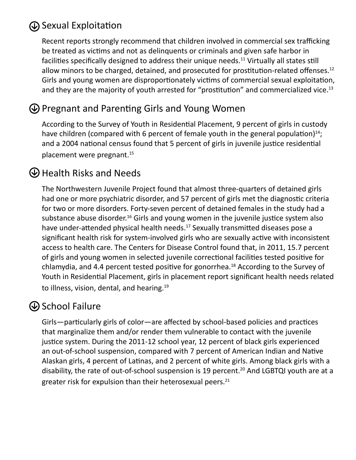#### Sexual Exploitation

Recent reports strongly recommend that children involved in commercial sex trafficking be treated as victims and not as delinquents or criminals and given safe harbor in facilities specifically designed to address their unique needs.<sup>11</sup> Virtually all states still allow minors to be charged, detained, and prosecuted for prostitution-related offenses.<sup>12</sup> Girls and young women are disproportionately victims of commercial sexual exploitation, and they are the majority of youth arrested for "prostitution" and commercialized vice.<sup>13</sup>

#### Pregnant and Parenting Girls and Young Women

According to the Survey of Youth in Residential Placement, 9 percent of girls in custody have children (compared with 6 percent of female youth in the general population) $14$ ; and a 2004 national census found that 5 percent of girls in juvenile justice residential placement were pregnant.<sup>15</sup>

#### Health Risks and Needs

The Northwestern Juvenile Project found that almost three-quarters of detained girls had one or more psychiatric disorder, and 57 percent of girls met the diagnostic criteria for two or more disorders. Forty-seven percent of detained females in the study had a substance abuse disorder.<sup>16</sup> Girls and young women in the juvenile justice system also have under-attended physical health needs.<sup>17</sup> Sexually transmitted diseases pose a significant health risk for system-involved girls who are sexually active with inconsistent access to health care. The Centers for Disease Control found that, in 2011, 15.7 percent of girls and young women in selected juvenile correctional facilities tested positive for chlamydia, and 4.4 percent tested positive for gonorrhea.<sup>18</sup> According to the Survey of Youth in Residential Placement, girls in placement report significant health needs related to illness, vision, dental, and hearing.<sup>19</sup>

#### $\bigcirc$  School Failure

Girls—particularly girls of color—are affected by school-based policies and practices that marginalize them and/or render them vulnerable to contact with the juvenile justice system. During the 2011-12 school year, 12 percent of black girls experienced an out-of-school suspension, compared with 7 percent of American Indian and Native Alaskan girls, 4 percent of Latinas, and 2 percent of white girls. Among black girls with a disability, the rate of out-of-school suspension is 19 percent.<sup>20</sup> And LGBTQI youth are at a greater risk for expulsion than their heterosexual peers.<sup>21</sup>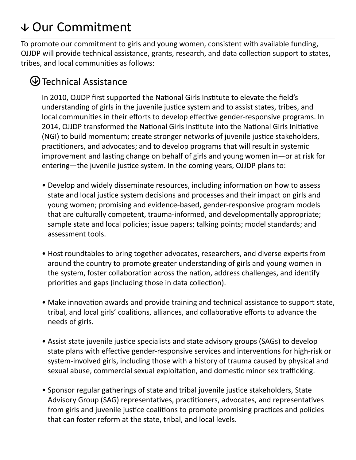# Our Commitment

To promote our commitment to girls and young women, consistent with available funding, OJJDP will provide technical assistance, grants, research, and data collection support to states, tribes, and local communities as follows:

#### Technical Assistance

In 2010, OJJDP first supported the National Girls Institute to elevate the field's understanding of girls in the juvenile justice system and to assist states, tribes, and local communities in their efforts to develop effective gender-responsive programs. In 2014, OJJDP transformed the National Girls Institute into the National Girls Initiative (NGI) to build momentum; create stronger networks of juvenile justice stakeholders, practitioners, and advocates; and to develop programs that will result in systemic improvement and lasting change on behalf of girls and young women in—or at risk for entering—the juvenile justice system. In the coming years, OJJDP plans to:

- Develop and widely disseminate resources, including information on how to assess state and local justice system decisions and processes and their impact on girls and young women; promising and evidence-based, gender-responsive program models that are culturally competent, trauma-informed, and developmentally appropriate; sample state and local policies; issue papers; talking points; model standards; and assessment tools.
- Host roundtables to bring together advocates, researchers, and diverse experts from around the country to promote greater understanding of girls and young women in the system, foster collaboration across the nation, address challenges, and identify priorities and gaps (including those in data collection).
- Make innovation awards and provide training and technical assistance to support state, tribal, and local girls' coalitions, alliances, and collaborative efforts to advance the needs of girls.
- Assist state juvenile justice specialists and state advisory groups (SAGs) to develop state plans with effective gender-responsive services and interventions for high-risk or system-involved girls, including those with a history of trauma caused by physical and sexual abuse, commercial sexual exploitation, and domestic minor sex trafficking.
- Sponsor regular gatherings of state and tribal juvenile justice stakeholders, State Advisory Group (SAG) representatives, practitioners, advocates, and representatives from girls and juvenile justice coalitions to promote promising practices and policies that can foster reform at the state, tribal, and local levels.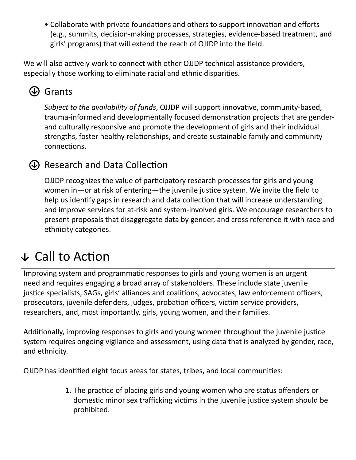• Collaborate with private foundations and others to support innovation and efforts (e.g., summits, decision-making processes, strategies, evidence-based treatment, and girls' programs) that will extend the reach of OJJDP into the field.

We will also actively work to connect with other OJJDP technical assistance providers, especially those working to eliminate racial and ethnic disparities.

### **W** Grants

*Subject to the availability of funds*, OJJDP will support innovative, community-based, trauma-informed and developmentally focused demonstration projects that are genderand culturally responsive and promote the development of girls and their individual strengths, foster healthy relationships, and create sustainable family and community connections.

#### Research and Data Collection

OJJDP recognizes the value of participatory research processes for girls and young women in—or at risk of entering—the juvenile justice system. We invite the field to help us identify gaps in research and data collection that will increase understanding and improve services for at-risk and system-involved girls. We encourage researchers to present proposals that disaggregate data by gender, and cross reference it with race and ethnicity categories.

## $\sqrt{\ }$  Call to Action

Improving system and programmatic responses to girls and young women is an urgent need and requires engaging a broad array of stakeholders. These include state juvenile justice specialists, SAGs, girls' alliances and coalitions, advocates, law enforcement officers, prosecutors, juvenile defenders, judges, probation officers, victim service providers, researchers, and, most importantly, girls, young women, and their families.

Additionally, improving responses to girls and young women throughout the juvenile justice system requires ongoing vigilance and assessment, using data that is analyzed by gender, race, and ethnicity.

OJJDP has identified eight focus areas for states, tribes, and local communities:

1. The practice of placing girls and young women who are status offenders or domestic minor sex trafficking victims in the juvenile justice system should be prohibited.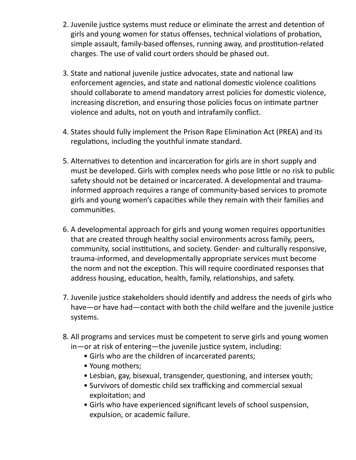- 2. Juvenile justice systems must reduce or eliminate the arrest and detention of girls and young women for status offenses, technical violations of probation, simple assault, family-based offenses, running away, and prostitution-related charges. The use of valid court orders should be phased out.
- 3. State and national juvenile justice advocates, state and national law enforcement agencies, and state and national domestic violence coalitions should collaborate to amend mandatory arrest policies for domestic violence, increasing discretion, and ensuring those policies focus on intimate partner violence and adults, not on youth and intrafamily conflict.
- 4. States should fully implement the Prison Rape Elimination Act (PREA) and its regulations, including the youthful inmate standard.
- 5. Alternatives to detention and incarceration for girls are in short supply and must be developed. Girls with complex needs who pose little or no risk to public safety should not be detained or incarcerated. A developmental and traumainformed approach requires a range of community-based services to promote girls and young women's capacities while they remain with their families and communities.
- 6. A developmental approach for girls and young women requires opportunities that are created through healthy social environments across family, peers, community, social institutions, and society. Gender- and culturally responsive, trauma-informed, and developmentally appropriate services must become the norm and not the exception. This will require coordinated responses that address housing, education, health, family, relationships, and safety.
- 7. Juvenile justice stakeholders should identify and address the needs of girls who have—or have had—contact with both the child welfare and the juvenile justice systems.
- 8. All programs and services must be competent to serve girls and young women in—or at risk of entering—the juvenile justice system, including:
	- Girls who are the children of incarcerated parents;
	- Young mothers;
	- Lesbian, gay, bisexual, transgender, questioning, and intersex youth;
	- Survivors of domestic child sex trafficking and commercial sexual exploitation; and
	- Girls who have experienced significant levels of school suspension, expulsion, or academic failure.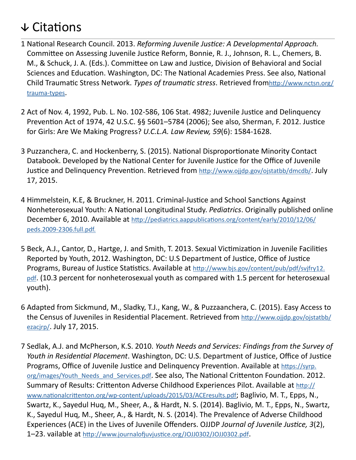# $\sqrt{\frac{1}{10}}$ Citations

- 1 National Research Council. 2013. *Reforming Juvenile Justice: A Developmental Approach.*  Committee on Assessing Juvenile Justice Reform, Bonnie, R. J., Johnson, R. L., Chemers, B. M., & Schuck, J. A. (Eds.). Committee on Law and Justice, Division of Behavioral and Social Sciences and Education. Washington, DC: The National Academies Press. See also, National Child Traumatic Stress Network. *Types of traumatic stress*. Retrieved from[http://www.nctsn.org/](http://www.nctsn.org/trauma-types) [trauma-types.](http://www.nctsn.org/trauma-types)
- 2 Act of Nov. 4, 1992, Pub. L. No. 102-586, 106 Stat. 4982; Juvenile Justice and Delinquency Prevention Act of 1974, 42 U.S.C. §§ 5601–5784 (2006); See also, Sherman, F. 2012. Justice for Girls: Are We Making Progress? *U.C.L.A. Law Review, 59*(6): 1584-1628.
- 3 Puzzanchera, C. and Hockenberry, S. (2015). National Disproportionate Minority Contact Databook. Developed by the National Center for Juvenile Justice for the Office of Juvenile Justice and Delinquency Prevention. Retrieved from<http://www.ojjdp.gov/ojstatbb/dmcdb/>. July 17, 2015.
- 4 Himmelstein, K.E, & Bruckner, H. 2011. Criminal-Justice and School Sanctions Against Nonheterosexual Youth: A National Longitudinal Study. *Pediatrics*. Originally published online December 6, 2010. Available at [http://pediatrics.aappublications.org/content/early/2010/12/06/](http://pediatrics.aappublications.org/content/early/2010/12/06/peds.2009-2306.full.pdf) [peds.2009-2306.full.pdf.](http://pediatrics.aappublications.org/content/early/2010/12/06/peds.2009-2306.full.pdf)
- 5 Beck, A.J., Cantor, D., Hartge, J. and Smith, T. 2013. Sexual Victimization in Juvenile Facilities Reported by Youth, 2012. Washington, DC: U.S Department of Justice, Office of Justice Programs, Bureau of Justice Statistics. Available at [http://www.bjs.gov/content/pub/pdf/svjfry12.](http://www.bjs.gov/content/pub/pdf/svjfry12.pdf) [pdf](http://www.bjs.gov/content/pub/pdf/svjfry12.pdf). (10.3 percent for nonheterosexual youth as compared with 1.5 percent for heterosexual youth).
- 6 Adapted from Sickmund, M., Sladky, T.J., Kang, W., & Puzzaanchera, C. (2015). Easy Access to the Census of Juveniles in Residential Placement. Retrieved from [http://www.ojjdp.gov/ojstatbb/](http://www.ojjdp.gov/ojstatbb/ezacjrp/) [ezacjrp/](http://www.ojjdp.gov/ojstatbb/ezacjrp/). July 17, 2015.
- 7 Sedlak, A.J. and McPherson, K.S. 2010. *Youth Needs and Services: Findings from the Survey of Youth in Residential Placement*. Washington, DC: U.S. Department of Justice, Office of Justice Programs, Office of Juvenile Justice and Delinguency Prevention. Available at [https://syrp.](https://syrp.org/images/Youth_Needs_and_Services.pdf) [org/images/Youth\\_Needs\\_and\\_Services.pdf](https://syrp.org/images/Youth_Needs_and_Services.pdf). See also, The National Crittenton Foundation. 2012. Summary of Results: Crittenton Adverse Childhood Experiences Pilot. Available at [http://](http://www.nationalcrittenton.org/wp-content/uploads/2015/03/ACEresults.pdf) [www.nationalcrittenton.org/wp-content/uploads/2015/03/ACEresults.pdf](http://www.nationalcrittenton.org/wp-content/uploads/2015/03/ACEresults.pdf); Baglivio, M. T., Epps, N., Swartz, K., Sayedul Huq, M., Sheer, A., & Hardt, N. S. (2014). Baglivio, M. T., Epps, N., Swartz, K., Sayedul Huq, M., Sheer, A., & Hardt, N. S. (2014). The Prevalence of Adverse Childhood Experiences (ACE) in the Lives of Juvenile Offenders. OJJDP *Journal of Juvenile Justice, 3*(2), 1–23. vailable at<http://www.journalofjuvjustice.org/JOJJ0302/JOJJ0302.pdf>.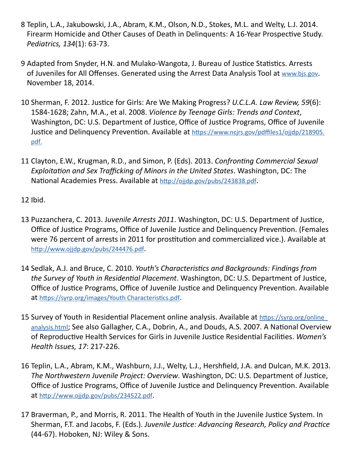- 8 Teplin, L.A., Jakubowski, J.A., Abram, K.M., Olson, N.D., Stokes, M.L. and Welty, L.J. 2014. Firearm Homicide and Other Causes of Death in Delinquents: A 16-Year Prospective Study. *Pediatrics, 134*(1): 63-73.
- 9 Adapted from Snyder, H.N. and Mulako-Wangota, J. Bureau of Justice Statistics. Arrests of Juveniles for All Offenses. Generated using the Arrest Data Analysis Tool at www.bis.gov. November 18, 2014.
- 10 Sherman, F. 2012. Justice for Girls: Are We Making Progress? *U.C.L.A. Law Review, 59*(6): 1584-1628; Zahn, M.A., et al. 2008. *Violence by Teenage Girls: Trends and Context*, Washington, DC: U.S. Department of Justice, Office of Justice Programs, Office of Juvenile Justice and Delinquency Prevention. Available at [https://www.ncjrs.gov/pdffiles1/ojjdp/218905.](https://www.ncjrs.gov/pdffiles1/ojjdp/218905.pdf) [pdf](https://www.ncjrs.gov/pdffiles1/ojjdp/218905.pdf).
- 11 Clayton, E.W., Krugman, R.D., and Simon, P. (Eds). 2013. *Confronting Commercial Sexual Exploitation and Sex Trafficking of Minors in the United States*. Washington, DC: The National Academies Press. Available at <http://ojjdp.gov/pubs/243838.pdf>.

12 Ibid.

- 13 Puzzanchera, C. 2013. J*uvenile Arrests 2011*. Washington, DC: U.S. Department of Justice, Office of Justice Programs, Office of Juvenile Justice and Delinquency Prevention. (Females were 76 percent of arrests in 2011 for prostitution and commercialized vice.). Available at <http://www.ojjdp.gov/pubs/244476.pdf>.
- 14 Sedlak, A.J. and Bruce, C. 2010. *Youth's Characteristics and Backgrounds: Findings from the Survey of Youth in Residential Placement*. Washington, DC: U.S. Department of Justice, Office of Justice Programs, Office of Juvenile Justice and Delinquency Prevention. Available at <https://syrp.org/images/Youth Characteristics.pdf>.
- 15 Survey of Youth in Residential Placement online analysis. Available at [https://syrp.org/online\\_](https://syrp.org/online_analysis.html) [analysis.html](https://syrp.org/online_analysis.html); See also Gallagher, C.A., Dobrin, A., and Douds, A.S. 2007. A National Overview of Reproductive Health Services for Girls in Juvenile Justice Residential Facilities. *Women's Health Issues, 17*: 217-226.
- 16 Teplin, L.A., Abram, K.M., Washburn, J.J., Welty, L.J., Hershfield, J.A. and Dulcan, M.K. 2013. *The Northwestern Juvenile Project: Overview*. Washington, DC: U.S. Department of Justice, Office of Justice Programs, Office of Juvenile Justice and Delinquency Prevention. Available at <http://www.ojjdp.gov/pubs/234522.pdf>.
- 17 Braverman, P., and Morris, R. 2011. The Health of Youth in the Juvenile Justice System. In Sherman, F.T. and Jacobs, F. (Eds.). *Juvenile Justice: Advancing Research, Policy and Practice*  (44-67). Hoboken, NJ: Wiley & Sons.